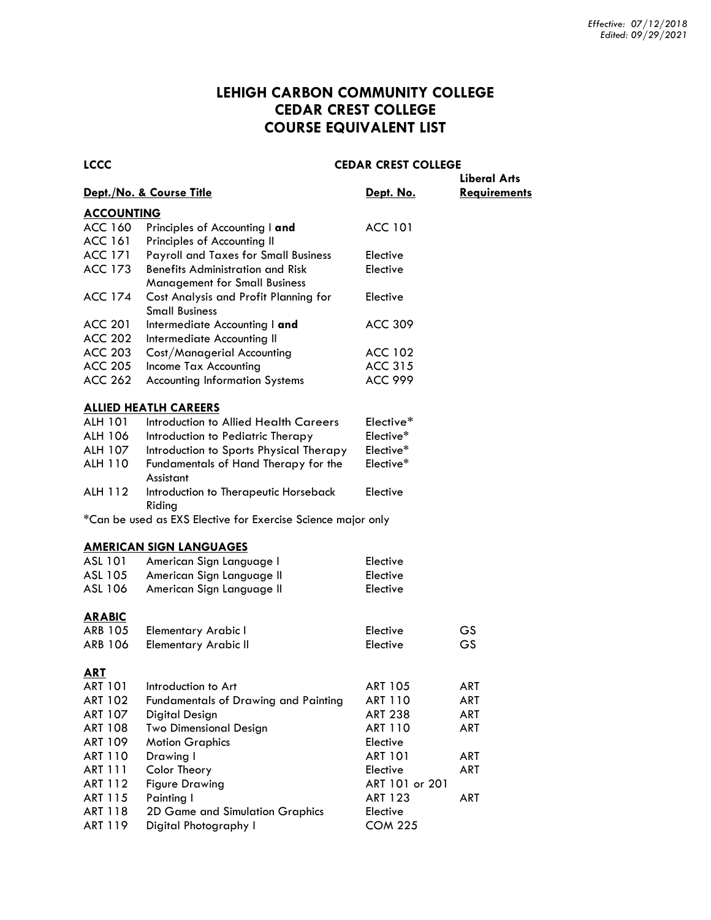# **LEHIGH CARBON COMMUNITY COLLEGE CEDAR CREST COLLEGE COURSE EQUIVALENT LIST**

| <b>LCCC</b>       |                                             | <b>CEDAR CREST COLLEGE</b> | <b>Liberal Arts</b> |
|-------------------|---------------------------------------------|----------------------------|---------------------|
|                   | Dept./No. & Course Title                    | <u>Dept. No.</u>           | <b>Requirements</b> |
| <b>ACCOUNTING</b> |                                             |                            |                     |
| ACC 160           | Principles of Accounting I and              | ACC 101                    |                     |
| ACC 161           | Principles of Accounting II                 |                            |                     |
| ACC 171           | <b>Payroll and Taxes for Small Business</b> | Elective                   |                     |
| ACC 173           | <b>Benefits Administration and Risk</b>     | Elective                   |                     |
|                   | <b>Management for Small Business</b>        |                            |                     |
| ACC 174           | Cost Analysis and Profit Planning for       | Elective                   |                     |
|                   | <b>Small Business</b>                       |                            |                     |
| <b>ACC 201</b>    | Intermediate Accounting I and               | ACC 309                    |                     |
| ACC 202           | Intermediate Accounting II                  |                            |                     |
| ACC 203           | Cost/Managerial Accounting                  | ACC 102                    |                     |
| ACC 205           | Income Tax Accounting                       | ACC 315                    |                     |
| <b>ACC 262</b>    | <b>Accounting Information Systems</b>       | <b>ACC 999</b>             |                     |
|                   |                                             |                            |                     |
|                   | <b>ALLIED HEATLH CAREERS</b>                |                            |                     |
| ALH 101           | Introduction to Allied Health Careers       | Elective*                  |                     |

# ALH 106 Introduction to Pediatric Therapy Elective\* ALH 107 Introduction to Sports Physical Therapy Elective\* ALH 110 Fundamentals of Hand Therapy for the Elective\* Assistant ALH 112 Introduction to Therapeutic Horseback Elective Riding

\*Can be used as EXS Elective for Exercise Science major only

#### **AMERICAN SIGN LANGUAGES**

| ASL 101        | American Sign Language I             | Elective       |            |
|----------------|--------------------------------------|----------------|------------|
| ASL 105        | American Sign Language II            | Elective       |            |
| ASL 106        | American Sign Language II            | Elective       |            |
| <b>ARABIC</b>  |                                      |                |            |
| ARB 105        | Elementary Arabic I                  | Elective       | GS.        |
| ARB 106        | Elementary Arabic II                 | Elective       | GS.        |
| ART            |                                      |                |            |
| ART 101        | Introduction to Art                  | <b>ART 105</b> | ART        |
| ART 102        | Fundamentals of Drawing and Painting | ART 110        | ART        |
| ART 107        | Digital Design                       | <b>ART 238</b> | ART        |
| ART 108        | <b>Two Dimensional Design</b>        | ART 110        | ART        |
| ART 109        | <b>Motion Graphics</b>               | Elective       |            |
| <b>ART 110</b> | Drawing I                            | <b>ART 101</b> | <b>ART</b> |
| ART 111        | Color Theory                         | Elective       | ART        |
| ART 112        | <b>Figure Drawing</b>                | ART 101 or 201 |            |
| ART 115        | Painting I                           | <b>ART 123</b> | ART        |
| ART 118        | 2D Game and Simulation Graphics      | Elective       |            |
| ART 119        | Digital Photography I                | <b>COM 225</b> |            |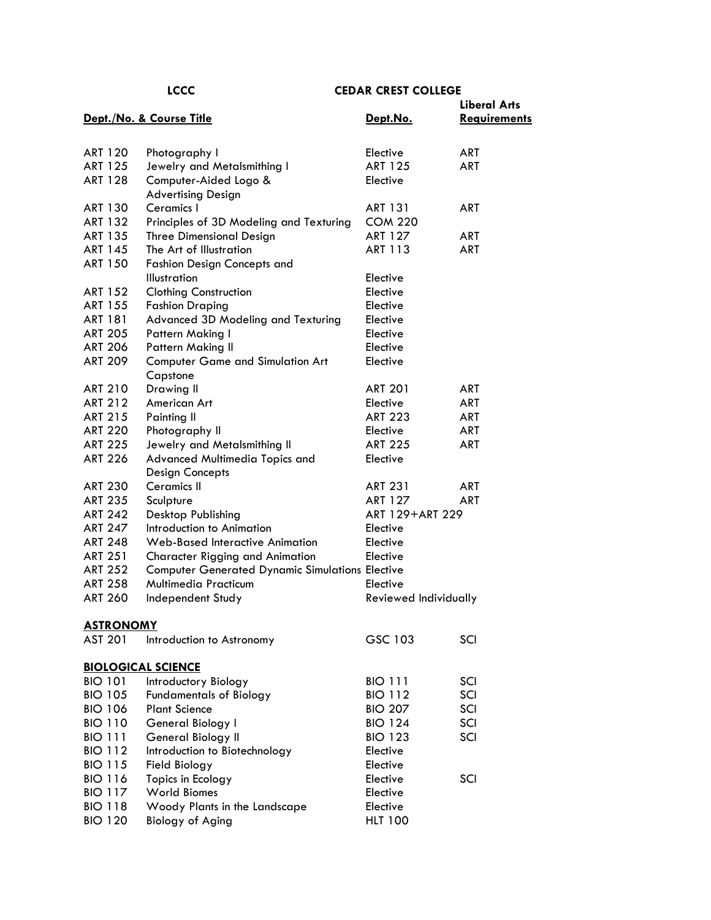|                                  |                                                           |                            | <b>Liberal Arts</b> |
|----------------------------------|-----------------------------------------------------------|----------------------------|---------------------|
|                                  | Dept./No. & Course Title                                  | Dept.No.                   | <b>Requirements</b> |
| <b>ART 120</b>                   | Photography I                                             | Elective                   | ART                 |
| ART 125                          | Jewelry and Metalsmithing I                               | <b>ART 125</b>             | <b>ART</b>          |
| <b>ART 128</b>                   | Computer-Aided Logo &<br><b>Advertising Design</b>        | Elective                   |                     |
| ART 130                          | Ceramics I                                                | <b>ART 131</b>             | <b>ART</b>          |
| ART 132                          | Principles of 3D Modeling and Texturing                   | <b>COM 220</b>             |                     |
| <b>ART 135</b>                   | <b>Three Dimensional Design</b>                           | <b>ART 127</b>             | ART                 |
| ART 145                          | The Art of Illustration                                   | ART 113                    | <b>ART</b>          |
| <b>ART 150</b>                   | <b>Fashion Design Concepts and</b><br><b>Illustration</b> | Elective                   |                     |
| ART 152                          | <b>Clothing Construction</b>                              | Elective                   |                     |
| ART 155                          | <b>Fashion Draping</b>                                    | Elective                   |                     |
| ART 181                          | Advanced 3D Modeling and Texturing                        | Elective                   |                     |
| <b>ART 205</b>                   | Pattern Making I                                          | Elective                   |                     |
| <b>ART 206</b>                   | <b>Pattern Making II</b>                                  | Elective                   |                     |
| <b>ART 209</b>                   | <b>Computer Game and Simulation Art</b><br>Capstone       | Elective                   |                     |
| <b>ART 210</b>                   | Drawing II                                                | <b>ART 201</b>             | <b>ART</b>          |
| <b>ART 212</b>                   | American Art                                              | Elective                   | <b>ART</b>          |
| ART 215                          | Painting II                                               | <b>ART 223</b>             | <b>ART</b>          |
| <b>ART 220</b>                   | Photography II                                            | Elective                   | <b>ART</b>          |
| <b>ART 225</b>                   | Jewelry and Metalsmithing II                              | <b>ART 225</b>             | <b>ART</b>          |
| <b>ART 226</b>                   | Advanced Multimedia Topics and                            | Elective                   |                     |
|                                  | <b>Design Concepts</b>                                    |                            |                     |
| <b>ART 230</b>                   | Ceramics II                                               | <b>ART 231</b>             | ART                 |
| <b>ART 235</b>                   | Sculpture                                                 | <b>ART 127</b>             | <b>ART</b>          |
| <b>ART 242</b>                   | Desktop Publishing                                        | ART 129+ART 229            |                     |
| <b>ART 247</b>                   | Introduction to Animation                                 | Elective                   |                     |
| <b>ART 248</b>                   | Web-Based Interactive Animation                           | Elective                   |                     |
| <b>ART 251</b>                   | <b>Character Rigging and Animation</b>                    | Elective                   |                     |
| <b>ART 252</b>                   | <b>Computer Generated Dynamic Simulations Elective</b>    |                            |                     |
| <b>ART 258</b><br><b>ART 260</b> | <b>Multimedia Practicum</b>                               | Elective                   |                     |
|                                  | Independent Study                                         | Reviewed Individually      |                     |
| <u>ASTRONOMY</u>                 |                                                           |                            |                     |
| <b>AST 201</b>                   | Introduction to Astronomy                                 | GSC 103                    | SCI                 |
|                                  | <b>BIOLOGICAL SCIENCE</b>                                 |                            |                     |
| <b>BIO 101</b>                   | Introductory Biology                                      | <b>BIO 111</b>             | SCI                 |
| <b>BIO 105</b>                   | <b>Fundamentals of Biology</b>                            | <b>BIO 112</b>             | SCI                 |
| <b>BIO 106</b>                   | <b>Plant Science</b>                                      | <b>BIO 207</b>             | SCI                 |
| <b>BIO 110</b>                   | General Biology I                                         | <b>BIO 124</b>             | SCI                 |
| <b>BIO 111</b>                   | General Biology II                                        | <b>BIO 123</b>             | SCI                 |
| <b>BIO 112</b>                   | Introduction to Biotechnology                             | Elective                   |                     |
| <b>BIO 115</b>                   | Field Biology                                             | Elective                   |                     |
| <b>BIO 116</b>                   | Topics in Ecology                                         | Elective                   | SCI                 |
| <b>BIO 117</b>                   | <b>World Biomes</b>                                       | Elective                   |                     |
| <b>BIO 118</b><br><b>BIO 120</b> | Woody Plants in the Landscape<br><b>Biology of Aging</b>  | Elective<br><b>HLT 100</b> |                     |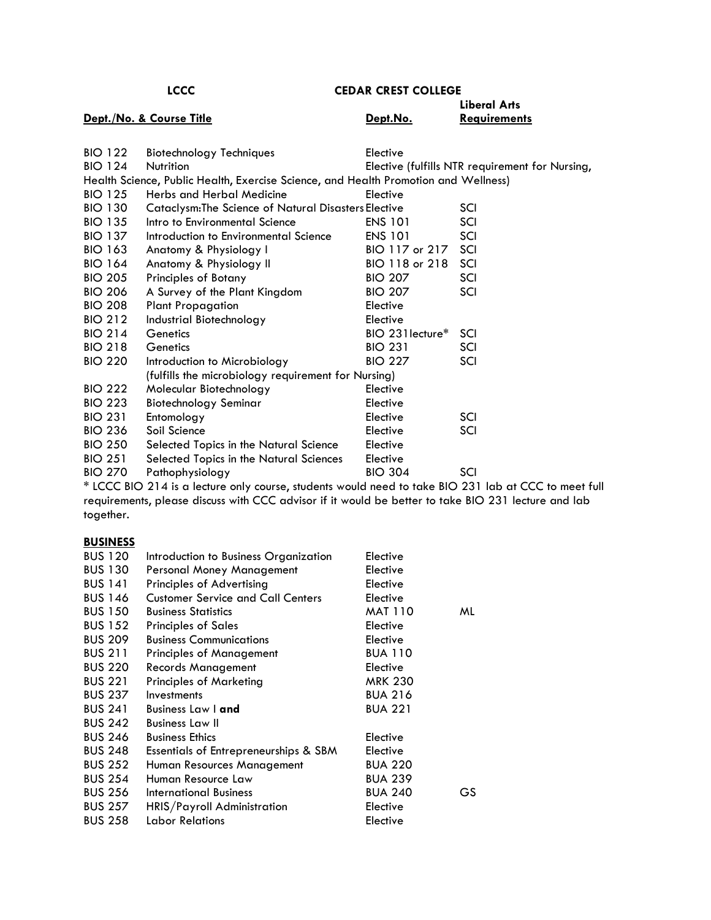|                | <b>LCCC</b>                                                                         | <b>CEDAR CREST COLLEGE</b>   |                                                 |
|----------------|-------------------------------------------------------------------------------------|------------------------------|-------------------------------------------------|
|                | Dept./No. & Course Title                                                            | Dept.No.                     | <b>Liberal Arts</b><br><b>Requirements</b>      |
| <b>BIO 122</b> | <b>Biotechnology Techniques</b>                                                     | Elective                     |                                                 |
| <b>BIO 124</b> | Nutrition                                                                           |                              | Elective (fulfills NTR requirement for Nursing, |
|                | Health Science, Public Health, Exercise Science, and Health Promotion and Wellness) |                              |                                                 |
| <b>BIO 125</b> | Herbs and Herbal Medicine                                                           | Elective                     |                                                 |
| <b>BIO 130</b> | <b>Cataclysm: The Science of Natural Disasters Elective</b>                         |                              | SCI                                             |
| <b>BIO 135</b> | Intro to Environmental Science                                                      | <b>ENS 101</b>               | SCI                                             |
| <b>BIO 137</b> | Introduction to Environmental Science                                               | <b>ENS 101</b>               | SCI                                             |
| <b>BIO 163</b> | Anatomy & Physiology I                                                              | BIO 117 or 217               | SCI                                             |
| <b>BIO 164</b> | Anatomy & Physiology II                                                             | BIO 118 or 218               | SCI                                             |
| <b>BIO 205</b> | Principles of Botany                                                                | <b>BIO 207</b>               | SCI                                             |
| <b>BIO 206</b> | A Survey of the Plant Kingdom                                                       | <b>BIO 207</b>               | SCI                                             |
| <b>BIO 208</b> | <b>Plant Propagation</b>                                                            | Elective                     |                                                 |
| <b>BIO 212</b> | Industrial Biotechnology                                                            | Elective                     |                                                 |
| <b>BIO 214</b> | Genetics                                                                            | BIO 231 lecture <sup>*</sup> | SCI                                             |
| <b>BIO 218</b> | Genetics                                                                            | <b>BIO 231</b>               | SCI                                             |
| <b>BIO 220</b> | Introduction to Microbiology                                                        | <b>BIO 227</b>               | SCI                                             |
|                | (fulfills the microbiology requirement for Nursing)                                 |                              |                                                 |
| <b>BIO 222</b> | Molecular Biotechnology                                                             | Elective                     |                                                 |
| <b>BIO 223</b> | <b>Biotechnology Seminar</b>                                                        | Elective                     |                                                 |
| <b>BIO 231</b> | Entomology                                                                          | Elective                     | SCI                                             |
| <b>BIO 236</b> | Soil Science                                                                        | Elective                     | SCI                                             |
| <b>BIO 250</b> | Selected Topics in the Natural Science                                              | Elective                     |                                                 |
| <b>BIO 251</b> | Selected Topics in the Natural Sciences                                             | Elective                     |                                                 |
| <b>BIO 270</b> | Pathophysiology                                                                     | <b>BIO 304</b>               | SCI                                             |

\* LCCC BIO 214 is a lecture only course, students would need to take BIO 231 lab at CCC to meet full requirements, please discuss with CCC advisor if it would be better to take BIO 231 lecture and lab together.

# **BUSINESS**

| <b>BUS 120</b> | Introduction to Business Organization    | Elective       |    |
|----------------|------------------------------------------|----------------|----|
| <b>BUS 130</b> | Personal Money Management                | Elective       |    |
| <b>BUS 141</b> | Principles of Advertising                | Elective       |    |
| <b>BUS 146</b> | <b>Customer Service and Call Centers</b> | Elective       |    |
| <b>BUS 150</b> | <b>Business Statistics</b>               | <b>MAT 110</b> | ML |
| <b>BUS 152</b> | <b>Principles of Sales</b>               | Elective       |    |
| <b>BUS 209</b> | <b>Business Communications</b>           | Elective       |    |
| <b>BUS 211</b> | <b>Principles of Management</b>          | <b>BUA 110</b> |    |
| <b>BUS 220</b> | Records Management                       | Elective       |    |
| <b>BUS 221</b> | <b>Principles of Marketing</b>           | <b>MRK 230</b> |    |
| <b>BUS 237</b> | Investments                              | <b>BUA 216</b> |    |
| <b>BUS 241</b> | <b>Business Law I and</b>                | <b>BUA 221</b> |    |
| <b>BUS 242</b> | <b>Business Law II</b>                   |                |    |
| <b>BUS 246</b> | <b>Business Ethics</b>                   | Elective       |    |
| <b>BUS 248</b> | Essentials of Entrepreneurships & SBM    | Elective       |    |
| <b>BUS 252</b> | Human Resources Management               | <b>BUA 220</b> |    |
| <b>BUS 254</b> | Human Resource Law                       | <b>BUA 239</b> |    |
| <b>BUS 256</b> | International Business                   | <b>BUA 240</b> | GS |
| <b>BUS 257</b> | HRIS/Payroll Administration              | Elective       |    |
| <b>BUS 258</b> | Labor Relations                          | Elective       |    |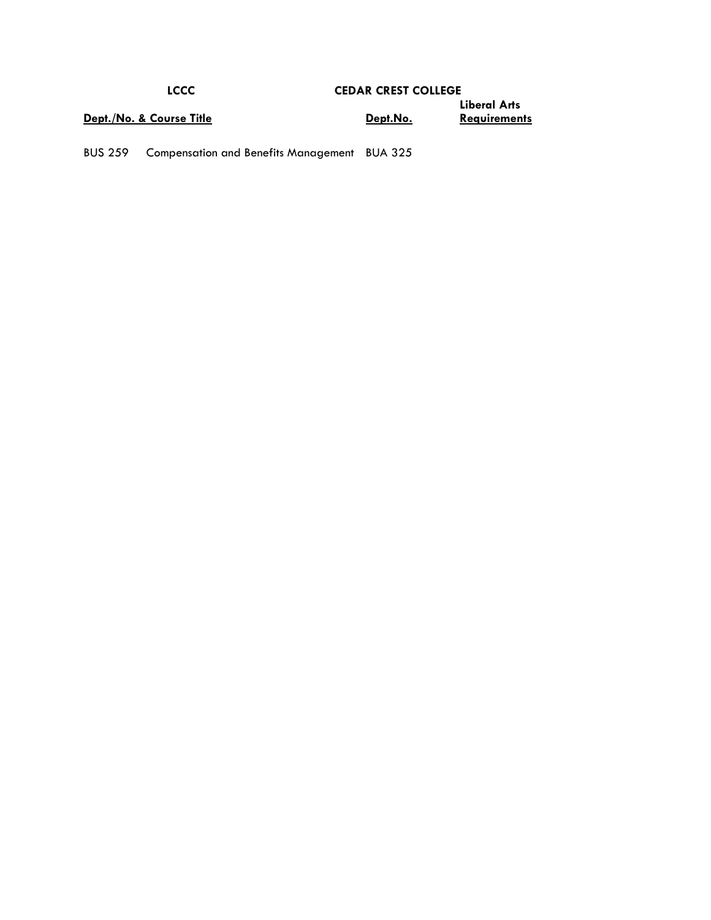| <b>LCCC</b>              | <b>CEDAR CREST COLLEGE</b> |                                     |
|--------------------------|----------------------------|-------------------------------------|
| Dept./No. & Course Title | <u>Dept.No.</u>            | Liberal Arts<br><b>Requirements</b> |

BUS 259 Compensation and Benefits Management BUA 325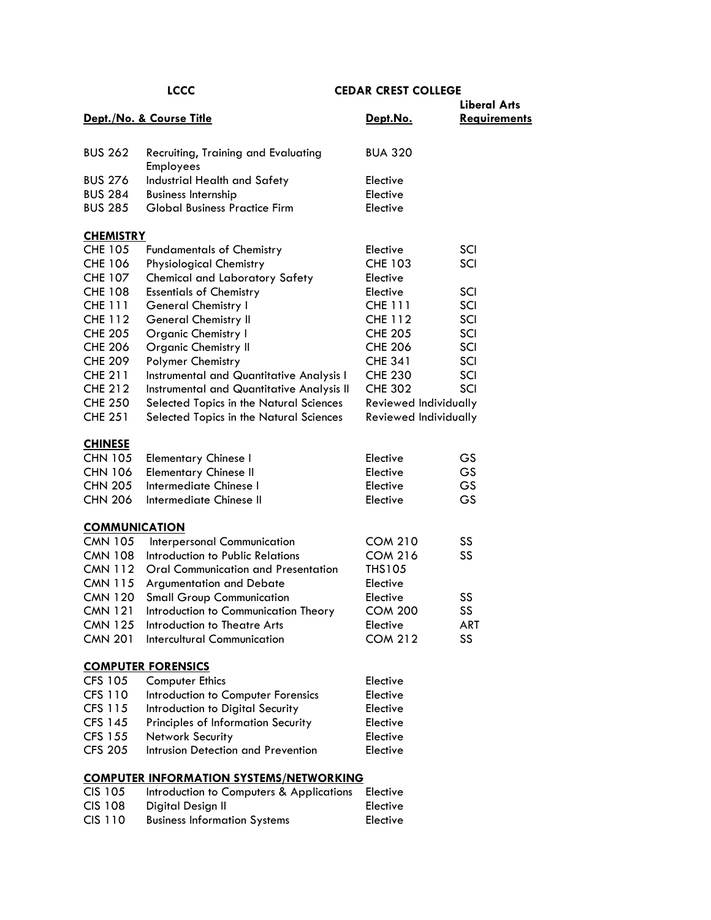|                      |                                                  |                       | <b>Liberal Arts</b> |
|----------------------|--------------------------------------------------|-----------------------|---------------------|
|                      | Dept./No. & Course Title                         | Dept.No.              | <b>Requirements</b> |
|                      |                                                  |                       |                     |
| <b>BUS 262</b>       | Recruiting, Training and Evaluating<br>Employees | <b>BUA 320</b>        |                     |
| <b>BUS 276</b>       | Industrial Health and Safety                     | Elective              |                     |
| <b>BUS 284</b>       | <b>Business Internship</b>                       | Elective              |                     |
| <b>BUS 285</b>       | <b>Global Business Practice Firm</b>             | Elective              |                     |
| <b>CHEMISTRY</b>     |                                                  |                       |                     |
| <b>CHE 105</b>       | <b>Fundamentals of Chemistry</b>                 | Elective              | SCI                 |
| <b>CHE 106</b>       | <b>Physiological Chemistry</b>                   | <b>CHE 103</b>        | SCI                 |
| <b>CHE 107</b>       | <b>Chemical and Laboratory Safety</b>            | Elective              |                     |
| <b>CHE 108</b>       | <b>Essentials of Chemistry</b>                   | Elective              | SCI                 |
| <b>CHE 111</b>       | General Chemistry I                              | <b>CHE 111</b>        | SCI                 |
| <b>CHE 112</b>       | <b>General Chemistry II</b>                      | <b>CHE 112</b>        | SCI                 |
| <b>CHE 205</b>       | <b>Organic Chemistry I</b>                       | <b>CHE 205</b>        | SCI                 |
| <b>CHE 206</b>       | <b>Organic Chemistry II</b>                      | <b>CHE 206</b>        | SCI                 |
| <b>CHE 209</b>       | Polymer Chemistry                                | <b>CHE 341</b>        | SCI                 |
| <b>CHE 211</b>       | Instrumental and Quantitative Analysis I         | <b>CHE 230</b>        | SCI                 |
| <b>CHE 212</b>       | Instrumental and Quantitative Analysis II        | <b>CHE 302</b>        | SCI                 |
| <b>CHE 250</b>       | Selected Topics in the Natural Sciences          | Reviewed Individually |                     |
| <b>CHE 251</b>       | Selected Topics in the Natural Sciences          | Reviewed Individually |                     |
| <b>CHINESE</b>       |                                                  |                       |                     |
| <b>CHN 105</b>       | <b>Elementary Chinese I</b>                      | Elective              | GS                  |
| <b>CHN 106</b>       | <b>Elementary Chinese II</b>                     | Elective              | GS.                 |
| <b>CHN 205</b>       | Intermediate Chinese I                           | Elective              | GS                  |
| <b>CHN 206</b>       | Intermediate Chinese II                          | Elective              | GS                  |
| <b>COMMUNICATION</b> |                                                  |                       |                     |
| <b>CMN 105</b>       | Interpersonal Communication                      | <b>COM 210</b>        | SS                  |
| <b>CMN 108</b>       | Introduction to Public Relations                 | <b>COM 216</b>        | SS                  |
| <b>CMN 112</b>       | <b>Oral Communication and Presentation</b>       | <b>THS105</b>         |                     |
| <b>CMN 115</b>       | Argumentation and Debate                         | Elective              |                     |
| <b>CMN 120</b>       | <b>Small Group Communication</b>                 | Elective              | SS                  |
| <b>CMN 121</b>       | Introduction to Communication Theory             | <b>COM 200</b>        | SS                  |
| <b>CMN 125</b>       | Introduction to Theatre Arts                     | Elective              | ART                 |
| <b>CMN 201</b>       | <b>Intercultural Communication</b>               | <b>COM 212</b>        | SS                  |
|                      | <b>COMPUTER FORENSICS</b>                        |                       |                     |
| <b>CFS 105</b>       | <b>Computer Ethics</b>                           | Elective              |                     |
| <b>CFS 110</b>       | Introduction to Computer Forensics               | Elective              |                     |
| CFS 115              | Introduction to Digital Security                 | Elective              |                     |
| <b>CFS 145</b>       | Principles of Information Security               | Elective              |                     |
| <b>CFS 155</b>       | Network Security                                 | Elective              |                     |
| <b>CFS 205</b>       | Intrusion Detection and Prevention               | Elective              |                     |
|                      | <b>COMPUTER INFORMATION SYSTEMS/NETWORKING</b>   |                       |                     |
| <b>CIS 105</b>       | Introduction to Computers & Applications         | Elective              |                     |
| <b>CIS 108</b>       | Digital Design II                                | Elective              |                     |

CIS 110 Business Information Systems Elective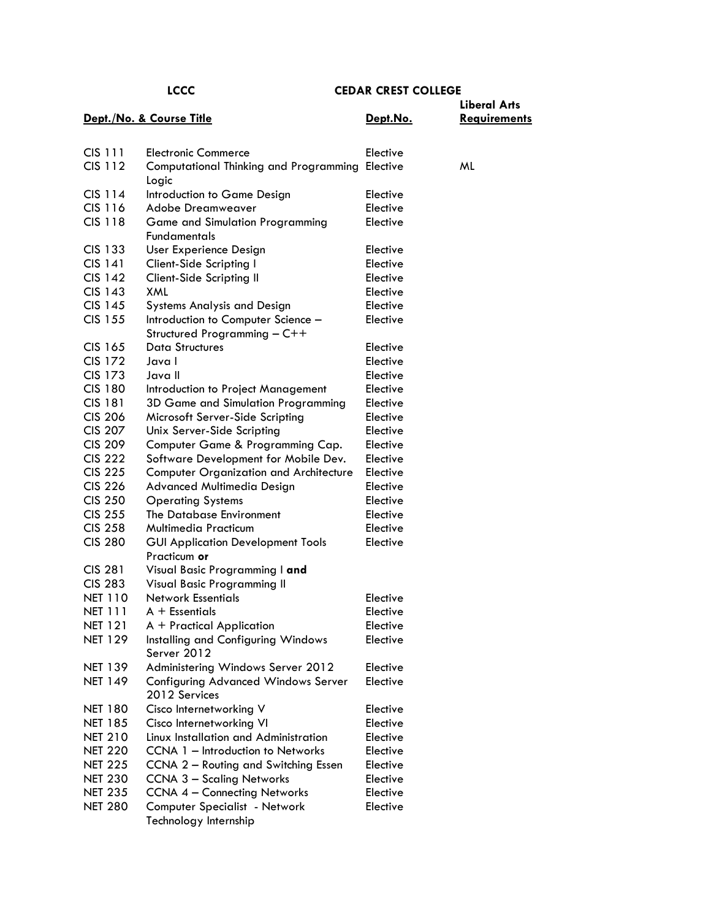|                |                                                                    |          | <b>Liberal Arts</b> |
|----------------|--------------------------------------------------------------------|----------|---------------------|
|                | Dept./No. & Course Title                                           | Dept.No. | <b>Requirements</b> |
|                |                                                                    |          |                     |
| CIS 111        | <b>Electronic Commerce</b>                                         | Elective |                     |
| CIS 112        | Computational Thinking and Programming                             | Elective | ML                  |
|                | Logic                                                              |          |                     |
| CIS 114        | Introduction to Game Design                                        | Elective |                     |
| CIS 116        | Adobe Dreamweaver                                                  | Elective |                     |
| <b>CIS 118</b> | <b>Game and Simulation Programming</b>                             | Elective |                     |
|                | <b>Fundamentals</b>                                                |          |                     |
| CIS 133        | User Experience Design                                             | Elective |                     |
| <b>CIS 141</b> | Client-Side Scripting I                                            | Elective |                     |
| <b>CIS 142</b> | Client-Side Scripting II                                           | Elective |                     |
| <b>CIS 143</b> | XML                                                                | Elective |                     |
| CIS 145        | <b>Systems Analysis and Design</b>                                 | Elective |                     |
| <b>CIS 155</b> | Introduction to Computer Science -<br>Structured Programming - C++ | Elective |                     |
| CIS 165        | <b>Data Structures</b>                                             | Elective |                     |
| <b>CIS 172</b> | Java I                                                             | Elective |                     |
| <b>CIS 173</b> | Java II                                                            | Elective |                     |
| <b>CIS 180</b> | Introduction to Project Management                                 | Elective |                     |
| <b>CIS 181</b> | 3D Game and Simulation Programming                                 | Elective |                     |
| <b>CIS 206</b> | Microsoft Server-Side Scripting                                    | Elective |                     |
| <b>CIS 207</b> | Unix Server-Side Scripting                                         | Elective |                     |
| <b>CIS 209</b> | Computer Game & Programming Cap.                                   | Elective |                     |
| <b>CIS 222</b> | Software Development for Mobile Dev.                               | Elective |                     |
| <b>CIS 225</b> | <b>Computer Organization and Architecture</b>                      | Elective |                     |
| <b>CIS 226</b> | Advanced Multimedia Design                                         | Elective |                     |
| <b>CIS 250</b> | <b>Operating Systems</b>                                           | Elective |                     |
| <b>CIS 255</b> | The Database Environment                                           | Elective |                     |
| <b>CIS 258</b> | <b>Multimedia Practicum</b>                                        | Elective |                     |
| <b>CIS 280</b> | <b>GUI Application Development Tools</b><br>Practicum or           | Elective |                     |
| <b>CIS 281</b> | Visual Basic Programming I and                                     |          |                     |
| <b>CIS 283</b> | Visual Basic Programming II                                        |          |                     |
| <b>NET 110</b> | <b>Network Essentials</b>                                          | Elective |                     |
| <b>NET 111</b> | A + Essentials                                                     | Elective |                     |
| <b>NET 121</b> | A + Practical Application                                          | Elective |                     |
| <b>NET 129</b> | Installing and Configuring Windows<br>Server 2012                  | Elective |                     |
| <b>NET 139</b> | Administering Windows Server 2012                                  | Elective |                     |
| <b>NET 149</b> | <b>Configuring Advanced Windows Server</b><br>2012 Services        | Elective |                     |
| <b>NET 180</b> | Cisco Internetworking V                                            | Elective |                     |
| <b>NET 185</b> | Cisco Internetworking VI                                           | Elective |                     |
| <b>NET 210</b> | Linux Installation and Administration                              | Elective |                     |
| <b>NET 220</b> | CCNA 1 - Introduction to Networks                                  | Elective |                     |
| <b>NET 225</b> | CCNA 2 - Routing and Switching Essen                               | Elective |                     |
| <b>NET 230</b> | <b>CCNA 3 - Scaling Networks</b>                                   | Elective |                     |
| <b>NET 235</b> | <b>CCNA 4 - Connecting Networks</b>                                | Elective |                     |
| <b>NET 280</b> | Computer Specialist - Network<br>Technology Internship             | Elective |                     |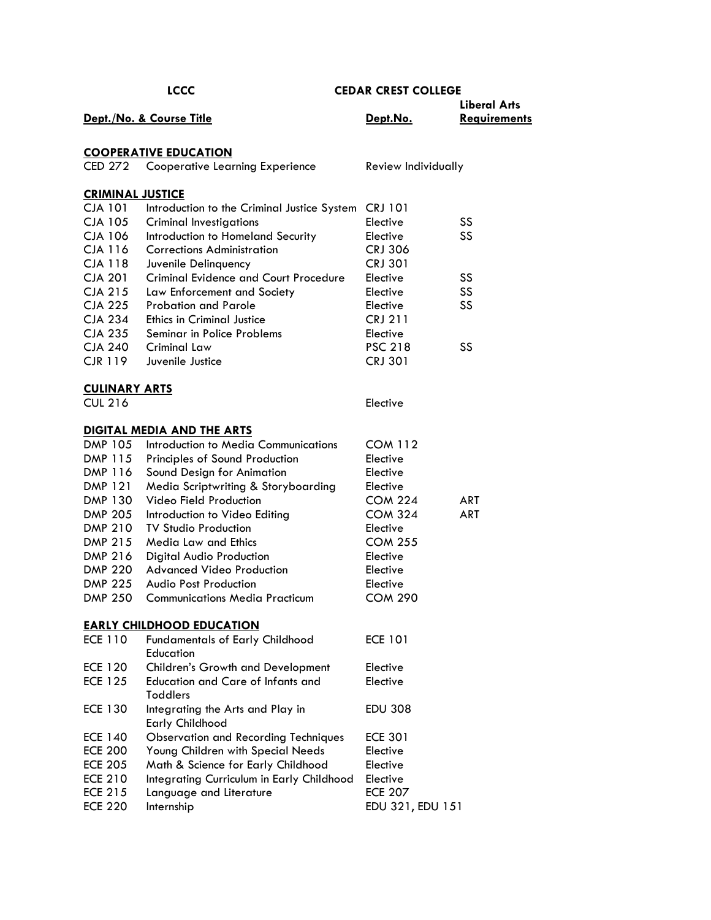|                         | <b>LCCC</b>                                                 | <b>CEDAR CREST COLLEGE</b> |                     |
|-------------------------|-------------------------------------------------------------|----------------------------|---------------------|
|                         |                                                             |                            | <b>Liberal Arts</b> |
|                         | Dept./No. & Course Title                                    | Dept.No.                   | <b>Requirements</b> |
|                         |                                                             |                            |                     |
|                         | <b>COOPERATIVE EDUCATION</b>                                |                            |                     |
| CED 272                 | <b>Cooperative Learning Experience</b>                      | Review Individually        |                     |
| <b>CRIMINAL JUSTICE</b> |                                                             |                            |                     |
| <b>CJA 101</b>          | Introduction to the Criminal Justice System CRJ 101         |                            |                     |
| <b>CJA 105</b>          | <b>Criminal Investigations</b>                              | Elective                   | SS                  |
| <b>CJA 106</b>          | Introduction to Homeland Security                           | Elective                   | SS                  |
| CJA 116                 | <b>Corrections Administration</b>                           | <b>CRJ 306</b>             |                     |
| <b>CJA 118</b>          | Juvenile Delinquency                                        | <b>CRJ 301</b>             |                     |
| <b>CJA 201</b>          | <b>Criminal Evidence and Court Procedure</b>                | Elective                   | SS                  |
| <b>CJA 215</b>          | Law Enforcement and Society                                 | Elective                   | SS                  |
| <b>CJA 225</b>          | Probation and Parole                                        | Elective                   | SS                  |
| <b>CJA 234</b>          | <b>Ethics in Criminal Justice</b>                           | <b>CRJ 211</b>             |                     |
| <b>CJA 235</b>          | Seminar in Police Problems                                  | Elective                   |                     |
| <b>CJA 240</b>          | Criminal Law                                                | <b>PSC 218</b>             | SS                  |
| <b>CJR 119</b>          | Juvenile Justice                                            | <b>CRJ 301</b>             |                     |
| <b>CULINARY ARTS</b>    |                                                             |                            |                     |
| <b>CUL 216</b>          |                                                             | Elective                   |                     |
|                         | <b>DIGITAL MEDIA AND THE ARTS</b>                           |                            |                     |
| DMP 105                 | Introduction to Media Communications                        | <b>COM 112</b>             |                     |
| DMP 115                 | Principles of Sound Production                              | Elective                   |                     |
| DMP 116                 | Sound Design for Animation                                  | Elective                   |                     |
| DMP 121                 | Media Scriptwriting & Storyboarding                         | Elective                   |                     |
| DMP 130                 | Video Field Production                                      | <b>COM 224</b>             | ART                 |
| <b>DMP 205</b>          | Introduction to Video Editing                               | <b>COM 324</b>             | <b>ART</b>          |
| <b>DMP 210</b>          | <b>TV Studio Production</b>                                 | Elective                   |                     |
| DMP 215                 | Media Law and Ethics                                        | <b>COM 255</b>             |                     |
| DMP 216                 | Digital Audio Production                                    | Elective                   |                     |
| <b>DMP 220</b>          | <b>Advanced Video Production</b>                            | Elective                   |                     |
| <b>DMP 225</b>          | <b>Audio Post Production</b>                                | Elective                   |                     |
| <b>DMP 250</b>          | <b>Communications Media Practicum</b>                       | <b>COM 290</b>             |                     |
|                         | <b>EARLY CHILDHOOD EDUCATION</b>                            |                            |                     |
| <b>ECE 110</b>          | <b>Fundamentals of Early Childhood</b><br>Education         | <b>ECE 101</b>             |                     |
| <b>ECE 120</b>          | <b>Children's Growth and Development</b>                    | Elective                   |                     |
| <b>ECE 125</b>          | <b>Education and Care of Infants and</b><br><b>Toddlers</b> | Elective                   |                     |
| <b>ECE 130</b>          | Integrating the Arts and Play in<br><b>Early Childhood</b>  | <b>EDU 308</b>             |                     |
| <b>ECE 140</b>          | <b>Observation and Recording Techniques</b>                 | <b>ECE 301</b>             |                     |
| <b>ECE 200</b>          | Young Children with Special Needs                           | Elective                   |                     |
| <b>ECE 205</b>          | Math & Science for Early Childhood                          | Elective                   |                     |
| <b>ECE 210</b>          | Integrating Curriculum in Early Childhood                   | Elective                   |                     |
| <b>ECE 215</b>          | Language and Literature                                     | <b>ECE 207</b>             |                     |
| <b>ECE 220</b>          | Internship                                                  | EDU 321, EDU 151           |                     |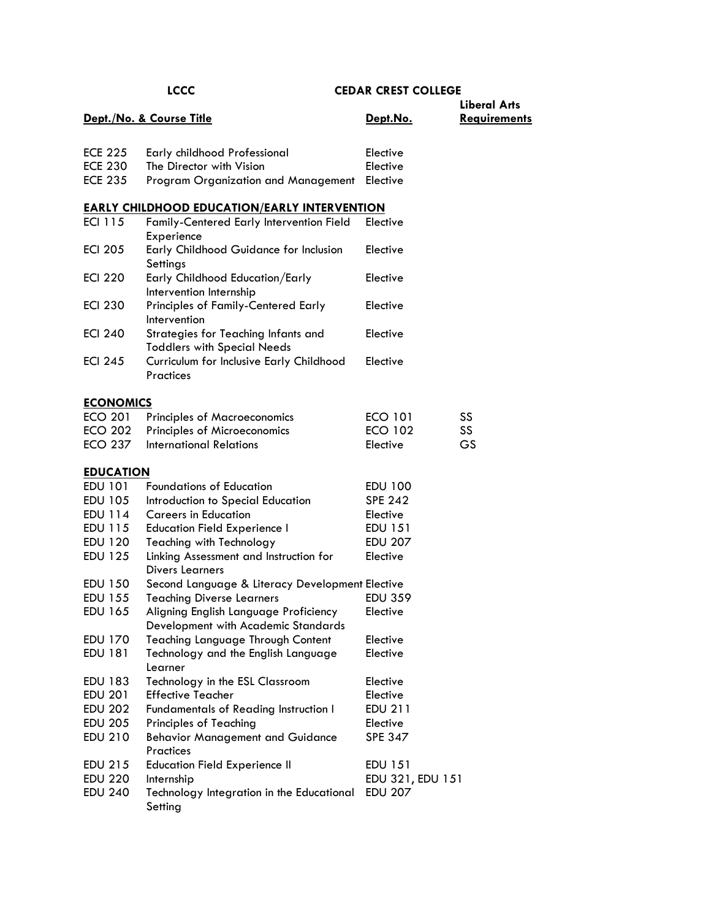|                  | Dept./No. & Course Title                                                     | Dept.No.         | <b>Liberal Arts</b><br><b>Requirements</b> |
|------------------|------------------------------------------------------------------------------|------------------|--------------------------------------------|
|                  |                                                                              |                  |                                            |
| <b>ECE 225</b>   | Early childhood Professional                                                 | Elective         |                                            |
| <b>ECE 230</b>   | The Director with Vision                                                     | Elective         |                                            |
| <b>ECE 235</b>   | Program Organization and Management                                          | Elective         |                                            |
|                  | <b>EARLY CHILDHOOD EDUCATION/EARLY INTERVENTION</b>                          |                  |                                            |
| <b>ECI 115</b>   | Family-Centered Early Intervention Field<br>Experience                       | Elective         |                                            |
| <b>ECI 205</b>   | Early Childhood Guidance for Inclusion<br>Settings                           | Elective         |                                            |
| <b>ECI 220</b>   | Early Childhood Education/Early<br>Intervention Internship                   | Elective         |                                            |
| <b>ECI 230</b>   | Principles of Family-Centered Early<br>Intervention                          | Elective         |                                            |
| <b>ECI 240</b>   | Strategies for Teaching Infants and<br><b>Toddlers with Special Needs</b>    | Elective         |                                            |
| <b>ECI 245</b>   | Curriculum for Inclusive Early Childhood<br><b>Practices</b>                 | Elective         |                                            |
| <b>ECONOMICS</b> |                                                                              |                  |                                            |
| <b>ECO 201</b>   | <b>Principles of Macroeconomics</b>                                          | <b>ECO 101</b>   | SS                                         |
| <b>ECO 202</b>   | Principles of Microeconomics                                                 | <b>ECO 102</b>   | SS                                         |
| <b>ECO 237</b>   | <b>International Relations</b>                                               | Elective         | GS                                         |
| <b>EDUCATION</b> |                                                                              |                  |                                            |
| EDU 101          | <b>Foundations of Education</b>                                              | EDU 100          |                                            |
| EDU 105          | Introduction to Special Education                                            | <b>SPE 242</b>   |                                            |
| EDU 114          | <b>Careers in Education</b>                                                  | Elective         |                                            |
| EDU 115          | <b>Education Field Experience I</b>                                          | EDU 151          |                                            |
| EDU 120          | <b>Teaching with Technology</b>                                              | <b>EDU 207</b>   |                                            |
| <b>EDU 125</b>   | Linking Assessment and Instruction for<br><b>Divers Learners</b>             | Elective         |                                            |
| EDU 150          | Second Language & Literacy Development Elective                              |                  |                                            |
| EDU 155          | <b>Teaching Diverse Learners</b>                                             | <b>EDU 359</b>   |                                            |
| <b>EDU 165</b>   | Aligning English Language Proficiency<br>Development with Academic Standards | Elective         |                                            |
| EDU 170          | <b>Teaching Language Through Content</b>                                     | Elective         |                                            |
| <b>EDU 181</b>   | Technology and the English Language<br>Learner                               | Elective         |                                            |
| <b>EDU 183</b>   | Technology in the ESL Classroom                                              | Elective         |                                            |
| <b>EDU 201</b>   | <b>Effective Teacher</b>                                                     | Elective         |                                            |
| <b>EDU 202</b>   | Fundamentals of Reading Instruction I                                        | <b>EDU 211</b>   |                                            |
| <b>EDU 205</b>   | <b>Principles of Teaching</b>                                                | Elective         |                                            |
| <b>EDU 210</b>   | <b>Behavior Management and Guidance</b><br><b>Practices</b>                  | <b>SPE 347</b>   |                                            |
| EDU 215          | <b>Education Field Experience II</b>                                         | EDU 151          |                                            |
| <b>EDU 220</b>   | Internship                                                                   | EDU 321, EDU 151 |                                            |
| <b>EDU 240</b>   | Technology Integration in the Educational<br>Setting                         | <b>EDU 207</b>   |                                            |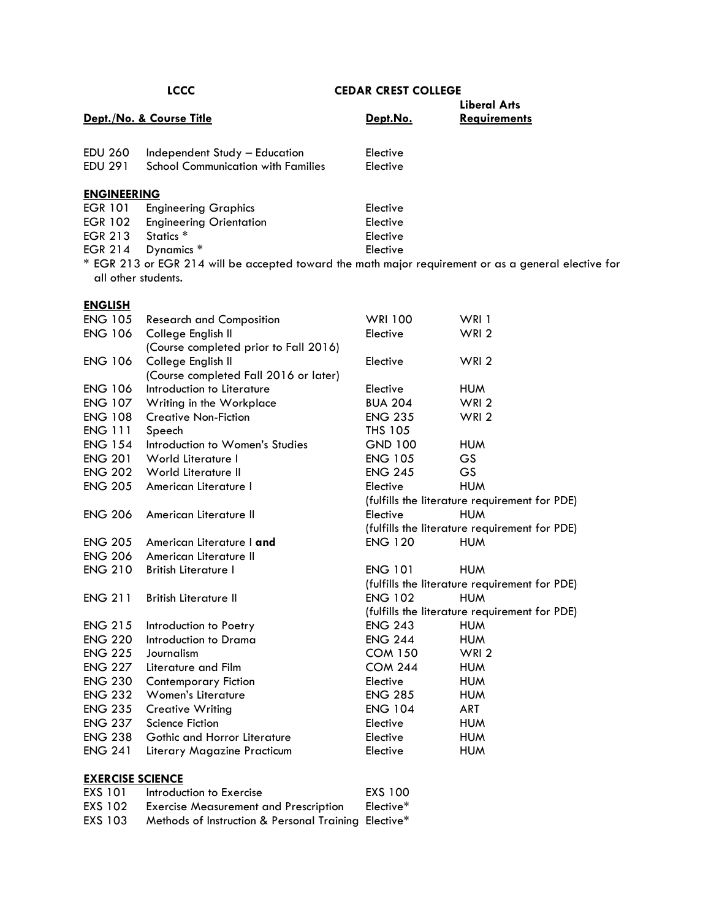| <b>LCCC</b>                                                                |                      |                                                                                                                                    |
|----------------------------------------------------------------------------|----------------------|------------------------------------------------------------------------------------------------------------------------------------|
| Dept./No. & Course Title                                                   | Dept.No.             | Liberal Arts<br><b>Requirements</b>                                                                                                |
| Independent Study - Education<br><b>School Communication with Families</b> | Elective<br>Elective |                                                                                                                                    |
| <b>ENGINEERING</b>                                                         |                      |                                                                                                                                    |
| <b>Engineering Graphics</b>                                                | Elective             |                                                                                                                                    |
| <b>Engineering Orientation</b>                                             | Elective             |                                                                                                                                    |
| Statics <sup>*</sup>                                                       | Elective             |                                                                                                                                    |
| Dynamics *                                                                 | Elective             |                                                                                                                                    |
|                                                                            |                      |                                                                                                                                    |
|                                                                            |                      | <b>CEDAR CREST COLLEGE</b><br>* EGR 213 or EGR 214 will be accepted toward the math major requirement or as a general elective for |

all other students.

| L<br>⋍<br>. z<br>ı |
|--------------------|
|--------------------|

| <b>ENGLISH</b>          |                                       |                |                                               |
|-------------------------|---------------------------------------|----------------|-----------------------------------------------|
| <b>ENG 105</b>          | <b>Research and Composition</b>       | <b>WRI 100</b> | WRI 1                                         |
| <b>ENG 106</b>          | College English II                    | Elective       | WRI <sub>2</sub>                              |
|                         | (Course completed prior to Fall 2016) |                |                                               |
| <b>ENG 106</b>          | College English II                    | Elective       | WRI <sub>2</sub>                              |
|                         | (Course completed Fall 2016 or later) |                |                                               |
| <b>ENG 106</b>          | Introduction to Literature            | Elective       | <b>HUM</b>                                    |
| <b>ENG 107</b>          | Writing in the Workplace              | <b>BUA 204</b> | WRI <sub>2</sub>                              |
| <b>ENG 108</b>          | <b>Creative Non-Fiction</b>           | <b>ENG 235</b> | WRI <sub>2</sub>                              |
| <b>ENG 111</b>          | Speech                                | <b>THS 105</b> |                                               |
| <b>ENG 154</b>          | Introduction to Women's Studies       | <b>GND 100</b> | <b>HUM</b>                                    |
| <b>ENG 201</b>          | World Literature I                    | <b>ENG 105</b> | <b>GS</b>                                     |
| <b>ENG 202</b>          | World Literature II                   | <b>ENG 245</b> | <b>GS</b>                                     |
| <b>ENG 205</b>          | American Literature I                 | Elective       | <b>HUM</b>                                    |
|                         |                                       |                | (fulfills the literature requirement for PDE) |
| <b>ENG 206</b>          | American Literature II                | Elective       | <b>HUM</b>                                    |
|                         |                                       |                | (fulfills the literature requirement for PDE) |
| <b>ENG 205</b>          | American Literature I and             | <b>ENG 120</b> | <b>HUM</b>                                    |
| <b>ENG 206</b>          | American Literature II                |                |                                               |
| <b>ENG 210</b>          | <b>British Literature I</b>           | <b>ENG 101</b> | <b>HUM</b>                                    |
|                         |                                       |                | (fulfills the literature requirement for PDE) |
| <b>ENG 211</b>          | <b>British Literature II</b>          | <b>ENG 102</b> | <b>HUM</b>                                    |
|                         |                                       |                | (fulfills the literature requirement for PDE) |
| <b>ENG 215</b>          | Introduction to Poetry                | <b>ENG 243</b> | <b>HUM</b>                                    |
| <b>ENG 220</b>          | Introduction to Drama                 | <b>ENG 244</b> | <b>HUM</b>                                    |
| <b>ENG 225</b>          | Journalism                            | <b>COM 150</b> | WRI <sub>2</sub>                              |
| <b>ENG 227</b>          | Literature and Film                   | <b>COM 244</b> | <b>HUM</b>                                    |
| <b>ENG 230</b>          | <b>Contemporary Fiction</b>           | Elective       | <b>HUM</b>                                    |
| <b>ENG 232</b>          | <b>Women's Literature</b>             | <b>ENG 285</b> | <b>HUM</b>                                    |
| <b>ENG 235</b>          | <b>Creative Writing</b>               | <b>ENG 104</b> | <b>ART</b>                                    |
| <b>ENG 237</b>          | <b>Science Fiction</b>                | Elective       | <b>HUM</b>                                    |
| <b>ENG 238</b>          | Gothic and Horror Literature          | Elective       | <b>HUM</b>                                    |
| <b>ENG 241</b>          | Literary Magazine Practicum           | Elective       | <b>HUM</b>                                    |
|                         |                                       |                |                                               |
| <b>EXERCISE SCIENCE</b> |                                       |                |                                               |

| EXS 101 | Introduction to Exercise                             | <b>EXS 100</b> |
|---------|------------------------------------------------------|----------------|
| EXS 102 | <b>Exercise Measurement and Prescription</b>         | Elective*      |
| EXS 103 | Methods of Instruction & Personal Training Elective* |                |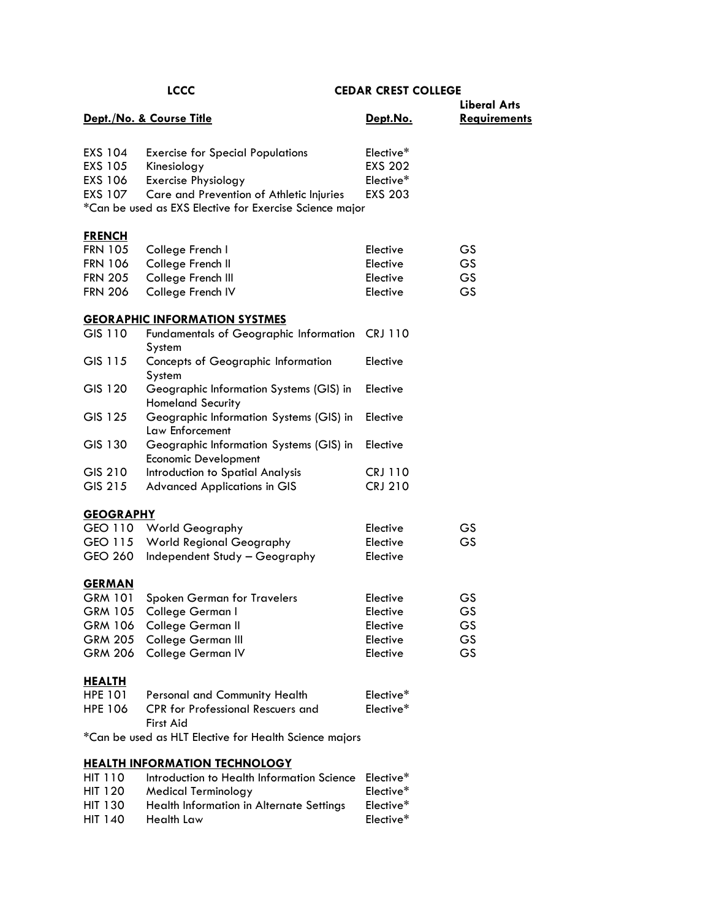|                  | <b>LCCC</b>                                                            | <b>CEDAR CREST COLLEGE</b> |                     |
|------------------|------------------------------------------------------------------------|----------------------------|---------------------|
|                  |                                                                        |                            | <b>Liberal Arts</b> |
|                  | Dept./No. & Course Title                                               | Dept.No.                   | <b>Requirements</b> |
| EXS 104          | <b>Exercise for Special Populations</b>                                | Elective*                  |                     |
| EXS 105          | Kinesiology                                                            | <b>EXS 202</b>             |                     |
| EXS 106          | <b>Exercise Physiology</b>                                             | Elective*                  |                     |
| <b>EXS 107</b>   | Care and Prevention of Athletic Injuries                               | <b>EXS 203</b>             |                     |
|                  | *Can be used as EXS Elective for Exercise Science major                |                            |                     |
| <b>FRENCH</b>    |                                                                        |                            |                     |
| <b>FRN 105</b>   | College French I                                                       | Elective                   | GS.                 |
| <b>FRN 106</b>   | College French II                                                      | Elective                   | GS                  |
| <b>FRN 205</b>   | College French III                                                     | Elective                   | GS                  |
| <b>FRN 206</b>   | College French IV                                                      | Elective                   | GS                  |
|                  | <b>GEORAPHIC INFORMATION SYSTMES</b>                                   |                            |                     |
| GIS 110          | <b>Fundamentals of Geographic Information</b><br>System                | <b>CRJ 110</b>             |                     |
| GIS 115          | <b>Concepts of Geographic Information</b><br>System                    | Elective                   |                     |
| GIS 120          | Geographic Information Systems (GIS) in<br><b>Homeland Security</b>    | Elective                   |                     |
| GIS 125          | Geographic Information Systems (GIS) in<br>Law Enforcement             | Elective                   |                     |
| GIS 130          | Geographic Information Systems (GIS) in<br><b>Economic Development</b> | Elective                   |                     |
| GIS 210          | Introduction to Spatial Analysis                                       | <b>CRJ 110</b>             |                     |
| GIS 215          | <b>Advanced Applications in GIS</b>                                    | <b>CRJ 210</b>             |                     |
| <b>GEOGRAPHY</b> |                                                                        |                            |                     |
| GEO 110          | <b>World Geography</b>                                                 | Elective                   | <b>GS</b>           |
| GEO 115          | <b>World Regional Geography</b>                                        | Elective                   | GS                  |
| <b>GEO 260</b>   | Independent Study - Geography                                          | Elective                   |                     |
| <b>GERMAN</b>    |                                                                        |                            |                     |
| <b>GRM 101</b>   | Spoken German for Travelers                                            | Elective                   | GS                  |
| <b>GRM 105</b>   | College German I                                                       | Elective                   | GS                  |
| <b>GRM 106</b>   | College German II                                                      | Elective                   | GS                  |
| <b>GRM 205</b>   | College German III                                                     | Elective                   | GS                  |
| <b>GRM 206</b>   | College German IV                                                      | Elective                   | GS                  |
| <b>HEALTH</b>    |                                                                        |                            |                     |
| <b>HPE 101</b>   | Personal and Community Health                                          | Elective*                  |                     |
| <b>HPE 106</b>   | <b>CPR</b> for Professional Rescuers and<br>First Aid                  | Elective*                  |                     |
|                  | *Can be used as HLT Elective for Health Science majors                 |                            |                     |
|                  | <b>HEALTH INFORMATION TECHNOLOGY</b>                                   |                            |                     |
| <b>HIT 110</b>   | Introduction to Health Information Science                             | Elective*                  |                     |
| <b>HIT 120</b>   | <b>Medical Terminology</b>                                             | Elective*                  |                     |
| <b>HIT 130</b>   | Health Information in Alternate Settings                               | Elective*                  |                     |

HIT 140 Health Law **Elective** \*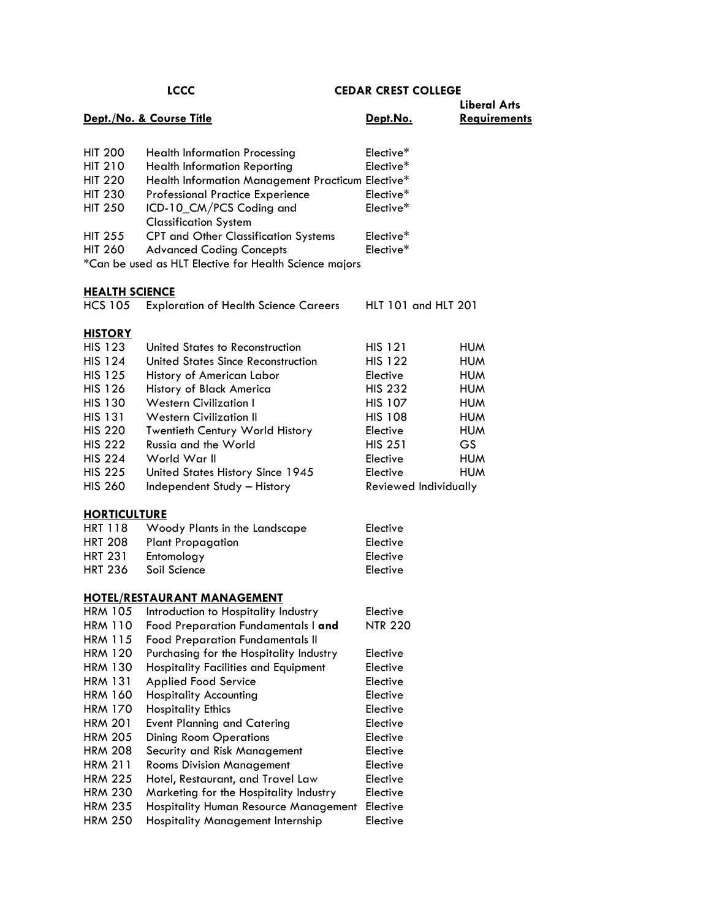|                                  | <b>LCCC</b>                                            | <b>CEDAR CREST COLLEGE</b> |                     |
|----------------------------------|--------------------------------------------------------|----------------------------|---------------------|
|                                  |                                                        |                            | <b>Liberal Arts</b> |
|                                  | Dept./No. & Course Title                               | Dept.No.                   | <b>Requirements</b> |
|                                  |                                                        |                            |                     |
| <b>HIT 200</b>                   | <b>Health Information Processing</b>                   | Elective*                  |                     |
| <b>HIT 210</b>                   | <b>Health Information Reporting</b>                    | Elective*                  |                     |
| <b>HIT 220</b>                   | Health Information Management Practicum Elective*      |                            |                     |
| <b>HIT 230</b>                   | <b>Professional Practice Experience</b>                | Elective*                  |                     |
| <b>HIT 250</b>                   | ICD-10_CM/PCS Coding and                               | Elective*                  |                     |
|                                  | <b>Classification System</b>                           |                            |                     |
| <b>HIT 255</b>                   | <b>CPT and Other Classification Systems</b>            | Elective*                  |                     |
| <b>HIT 260</b>                   | <b>Advanced Coding Concepts</b>                        | Elective*                  |                     |
|                                  | *Can be used as HLT Elective for Health Science majors |                            |                     |
|                                  |                                                        |                            |                     |
| <b>HEALTH SCIENCE</b>            |                                                        |                            |                     |
| <b>HCS 105</b>                   | <b>Exploration of Health Science Careers</b>           | HLT 101 and HLT 201        |                     |
|                                  |                                                        |                            |                     |
| <b>HISTORY</b>                   |                                                        |                            |                     |
| <b>HIS 123</b>                   | United States to Reconstruction                        | <b>HIS 121</b>             | <b>HUM</b>          |
| <b>HIS 124</b>                   | United States Since Reconstruction                     | <b>HIS 122</b>             | <b>HUM</b>          |
| <b>HIS 125</b>                   | History of American Labor                              | Elective                   | <b>HUM</b>          |
| <b>HIS 126</b>                   | History of Black America                               | <b>HIS 232</b>             | <b>HUM</b>          |
| <b>HIS 130</b>                   | <b>Western Civilization I</b>                          | <b>HIS 107</b>             | <b>HUM</b>          |
| <b>HIS 131</b>                   | <b>Western Civilization II</b>                         | <b>HIS 108</b>             | <b>HUM</b>          |
| <b>HIS 220</b>                   | Twentieth Century World History                        | Elective                   | <b>HUM</b>          |
| <b>HIS 222</b>                   | Russia and the World                                   | <b>HIS 251</b>             | GS.                 |
| <b>HIS 224</b>                   | World War II                                           | Elective                   | <b>HUM</b>          |
| <b>HIS 225</b>                   | United States History Since 1945                       | Elective                   | <b>HUM</b>          |
| <b>HIS 260</b>                   | Independent Study - History                            | Reviewed Individually      |                     |
|                                  |                                                        |                            |                     |
| <b>HORTICULTURE</b>              |                                                        |                            |                     |
| <b>HRT 118</b>                   | Woody Plants in the Landscape                          | Elective                   |                     |
| <b>HRT 208</b>                   | <b>Plant Propagation</b>                               | Elective                   |                     |
| <b>HRT 231</b><br><b>HRT 236</b> | Entomology<br>Soil Science                             | Elective                   |                     |
|                                  |                                                        | Elective                   |                     |
|                                  | <b>HOTEL/RESTAURANT MANAGEMENT</b>                     |                            |                     |
| <b>HRM 105</b>                   | Introduction to Hospitality Industry                   | Elective                   |                     |
| <b>HRM 110</b>                   | Food Preparation Fundamentals I and                    | <b>NTR 220</b>             |                     |
| <b>HRM 115</b>                   | <b>Food Preparation Fundamentals II</b>                |                            |                     |
| <b>HRM 120</b>                   | Purchasing for the Hospitality Industry                | Elective                   |                     |
| <b>HRM 130</b>                   | Hospitality Facilities and Equipment                   | Elective                   |                     |
| <b>HRM 131</b>                   | Applied Food Service                                   | Elective                   |                     |
| <b>HRM 160</b>                   | <b>Hospitality Accounting</b>                          | Elective                   |                     |
| <b>HRM 170</b>                   | <b>Hospitality Ethics</b>                              | Elective                   |                     |
| <b>HRM 201</b>                   | <b>Event Planning and Catering</b>                     | Elective                   |                     |
| <b>HRM 205</b>                   | <b>Dining Room Operations</b>                          | Elective                   |                     |
| <b>HRM 208</b>                   | Security and Risk Management                           | Elective                   |                     |
| <b>HRM 211</b>                   | <b>Rooms Division Management</b>                       | Elective                   |                     |
| <b>HRM 225</b>                   | Hotel, Restaurant, and Travel Law                      | Elective                   |                     |
| <b>HRM 230</b>                   | Marketing for the Hospitality Industry                 | Elective                   |                     |
| <b>HRM 235</b>                   | Hospitality Human Resource Management                  | Elective                   |                     |
| <b>HRM 250</b>                   | Hospitality Management Internship                      | Elective                   |                     |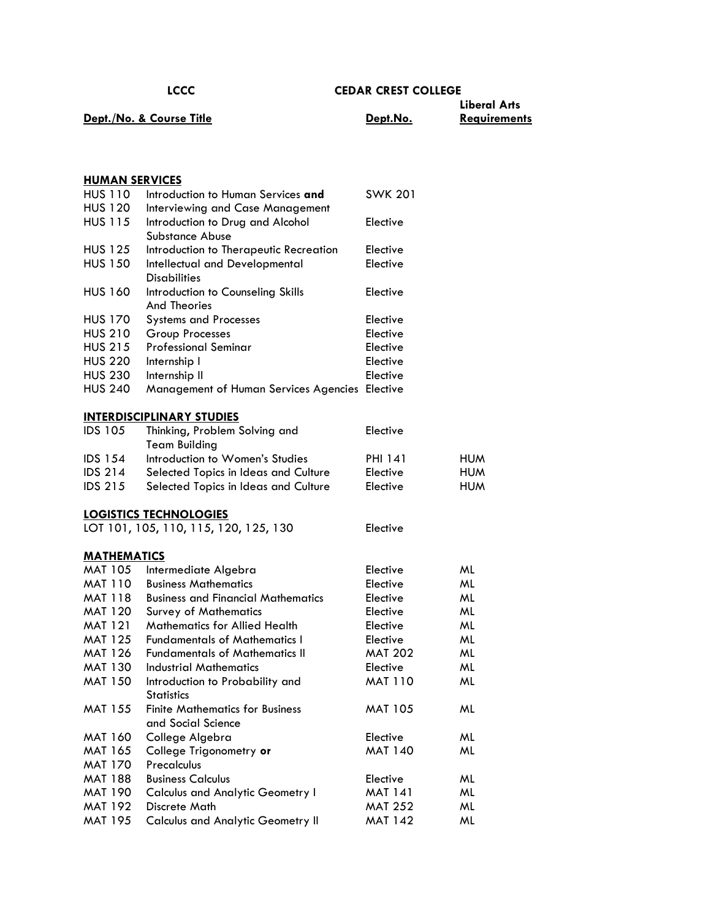|                          |          | <b>Liberal Arts</b> |
|--------------------------|----------|---------------------|
| Dept./No. & Course Title | Dept.No. | <b>Reavirements</b> |

| <b>HUMAN SERVICES</b> |                                                                               |                |            |
|-----------------------|-------------------------------------------------------------------------------|----------------|------------|
| <b>HUS 110</b>        | Introduction to Human Services and                                            | <b>SWK 201</b> |            |
| <b>HUS 120</b>        | Interviewing and Case Management                                              |                |            |
| <b>HUS 115</b>        | Introduction to Drug and Alcohol                                              | Elective       |            |
|                       | <b>Substance Abuse</b>                                                        |                |            |
| <b>HUS 125</b>        | Introduction to Therapeutic Recreation                                        | Elective       |            |
| <b>HUS 150</b>        | Intellectual and Developmental                                                | Elective       |            |
|                       | <b>Disabilities</b>                                                           |                |            |
| <b>HUS 160</b>        | Introduction to Counseling Skills                                             | Elective       |            |
|                       | <b>And Theories</b>                                                           |                |            |
| <b>HUS 170</b>        | <b>Systems and Processes</b>                                                  | Elective       |            |
| <b>HUS 210</b>        | Group Processes                                                               | Elective       |            |
| <b>HUS 215</b>        | <b>Professional Seminar</b>                                                   | Elective       |            |
| <b>HUS 220</b>        | Internship I                                                                  | Elective       |            |
| <b>HUS 230</b>        | Internship II                                                                 | Elective       |            |
| <b>HUS 240</b>        | Management of Human Services Agencies Elective                                |                |            |
|                       |                                                                               |                |            |
|                       | <b>INTERDISCIPLINARY STUDIES</b>                                              |                |            |
| <b>IDS 105</b>        | Thinking, Problem Solving and                                                 | Elective       |            |
|                       | <b>Team Building</b>                                                          |                |            |
| <b>IDS 154</b>        | Introduction to Women's Studies                                               | PHI 141        | <b>HUM</b> |
| <b>IDS 214</b>        | Selected Topics in Ideas and Culture                                          | Elective       | <b>HUM</b> |
| <b>IDS 215</b>        | Selected Topics in Ideas and Culture                                          | Elective       | <b>HUM</b> |
|                       |                                                                               |                |            |
|                       |                                                                               |                |            |
|                       | <b>LOGISTICS TECHNOLOGIES</b>                                                 |                |            |
|                       | LOT 101, 105, 110, 115, 120, 125, 130                                         | Elective       |            |
|                       |                                                                               |                |            |
| <b>MATHEMATICS</b>    |                                                                               |                |            |
| <b>MAT 105</b>        | Intermediate Algebra                                                          | Elective       | ML         |
| <b>MAT 110</b>        | <b>Business Mathematics</b>                                                   | Elective       | ML         |
| <b>MAT 118</b>        | <b>Business and Financial Mathematics</b>                                     | Elective       | ML         |
| MAT 120               | <b>Survey of Mathematics</b>                                                  | Elective       | ML         |
| <b>MAT 121</b>        | <b>Mathematics for Allied Health</b>                                          | Elective       | ML         |
| <b>MAT 125</b>        | <b>Fundamentals of Mathematics I</b><br><b>Fundamentals of Mathematics II</b> | Elective       | ML         |
| <b>MAT 126</b>        |                                                                               | <b>MAT 202</b> | ML         |
| <b>MAT 130</b>        | Industrial Mathematics                                                        | Elective       | ML         |
| <b>MAT 150</b>        | Introduction to Probability and                                               | <b>MAT 110</b> | ML         |
|                       | <b>Statistics</b>                                                             |                | ML         |
| <b>MAT 155</b>        | <b>Finite Mathematics for Business</b><br>and Social Science                  | <b>MAT 105</b> |            |
| <b>MAT 160</b>        |                                                                               | Elective       | ML         |
| <b>MAT 165</b>        | College Algebra                                                               | <b>MAT 140</b> | ML         |
| <b>MAT 170</b>        | College Trigonometry or<br>Precalculus                                        |                |            |
| <b>MAT 188</b>        | <b>Business Calculus</b>                                                      | Elective       | ML         |
| <b>MAT 190</b>        |                                                                               | <b>MAT 141</b> | ML         |
| <b>MAT 192</b>        | <b>Calculus and Analytic Geometry I</b><br>Discrete Math                      | <b>MAT 252</b> | ML         |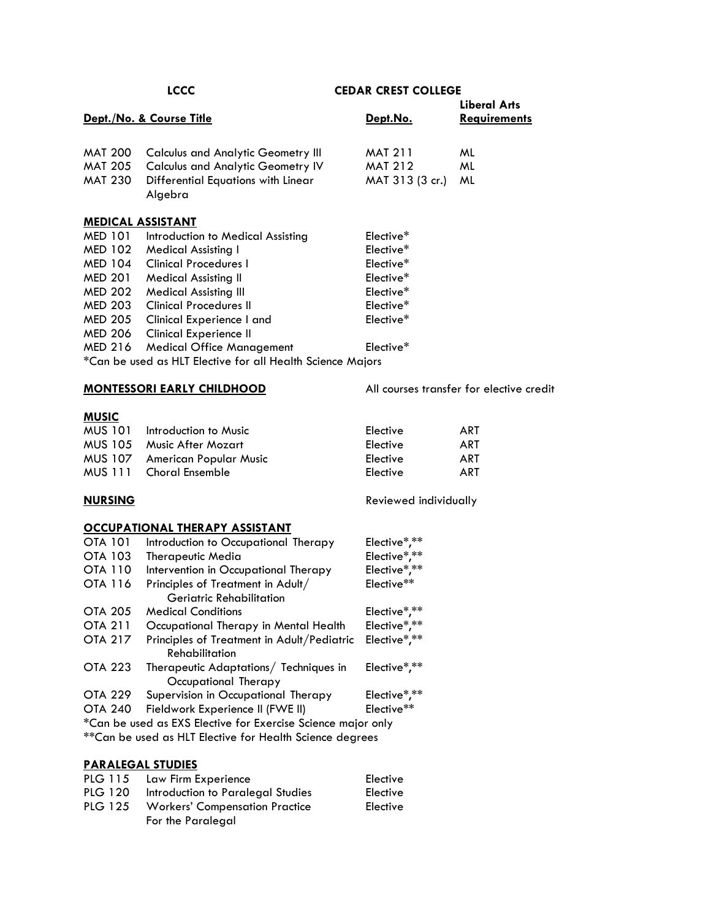|                          |                                                                      |                       | <b>Liberal Arts</b>                      |
|--------------------------|----------------------------------------------------------------------|-----------------------|------------------------------------------|
|                          | Dept./No. & Course Title                                             | Dept.No.              | <b>Requirements</b>                      |
| <b>MAT 200</b>           | <b>Calculus and Analytic Geometry III</b>                            | <b>MAT 211</b>        | ML                                       |
| <b>MAT 205</b>           | <b>Calculus and Analytic Geometry IV</b>                             | <b>MAT 212</b>        | ML                                       |
| <b>MAT 230</b>           | Differential Equations with Linear                                   | MAT 313 (3 cr.)       | ML                                       |
|                          | Algebra                                                              |                       |                                          |
| <b>MEDICAL ASSISTANT</b> |                                                                      |                       |                                          |
| MED 101                  | Introduction to Medical Assisting                                    | Elective*             |                                          |
| <b>MED 102</b>           | <b>Medical Assisting I</b>                                           | Elective*             |                                          |
| <b>MED 104</b>           | <b>Clinical Procedures I</b>                                         | Elective*             |                                          |
| <b>MED 201</b>           | <b>Medical Assisting II</b>                                          | Elective*             |                                          |
| <b>MED 202</b>           | <b>Medical Assisting III</b>                                         | Elective*             |                                          |
| <b>MED 203</b>           | <b>Clinical Procedures II</b>                                        | Elective*             |                                          |
| <b>MED 205</b>           | Clinical Experience I and                                            | Elective*             |                                          |
| <b>MED 206</b>           | <b>Clinical Experience II</b>                                        |                       |                                          |
| <b>MED 216</b>           | <b>Medical Office Management</b>                                     | Elective*             |                                          |
|                          | *Can be used as HLT Elective for all Health Science Majors           |                       |                                          |
|                          | <b>MONTESSORI EARLY CHILDHOOD</b>                                    |                       | All courses transfer for elective credit |
| <b>MUSIC</b>             |                                                                      |                       |                                          |
| <b>MUS 101</b>           | Introduction to Music                                                | Elective              | <b>ART</b>                               |
| <b>MUS 105</b>           | <b>Music After Mozart</b>                                            | Elective              | ART                                      |
| MUS 107                  | American Popular Music                                               | Elective              | ART                                      |
| <b>MUS 111</b>           | <b>Choral Ensemble</b>                                               | Elective              | <b>ART</b>                               |
| <b>NURSING</b>           |                                                                      | Reviewed individually |                                          |
|                          | <b>OCCUPATIONAL THERAPY ASSISTANT</b>                                |                       |                                          |
| <b>OTA 101</b>           | Introduction to Occupational Therapy                                 | Elective*,**          |                                          |
| OTA 103                  | <b>Therapeutic Media</b>                                             | Elective*,**          |                                          |
| OTA 110                  | Intervention in Occupational Therapy                                 | Elective*,**          |                                          |
| <b>OTA 116</b>           | Principles of Treatment in Adult/<br><b>Geriatric Rehabilitation</b> | Elective**            |                                          |
| <b>OTA 205</b>           | <b>Medical Conditions</b>                                            | Elective*,**          |                                          |
| <b>OTA 211</b>           | Occupational Therapy in Mental Health                                | Elective*,**          |                                          |
| <b>OTA 217</b>           | Principles of Treatment in Adult/Pediatric<br>Rehabilitation         | Elective*,**          |                                          |
| <b>OTA 223</b>           | Therapeutic Adaptations/ Techniques in<br>Occupational Therapy       | Elective*,**          |                                          |
| <b>OTA 229</b>           | Supervision in Occupational Therapy                                  | Elective*,**          |                                          |
| <b>OTA 240</b>           | Fieldwork Experience II (FWE II)                                     | Elective**            |                                          |
|                          | *Can be used as EXS Elective for Exercise Science major only         |                       |                                          |
|                          | ** Can be used as HLT Elective for Health Science degrees            |                       |                                          |
|                          |                                                                      |                       |                                          |

# **PARALEGAL STUDIES**

| PLG 115 Law Firm Experience               | Elective |  |
|-------------------------------------------|----------|--|
| PLG 120 Introduction to Paralegal Studies | Elective |  |
| PLG 125 Workers' Compensation Practice    | Elective |  |
| For the Paralegal                         |          |  |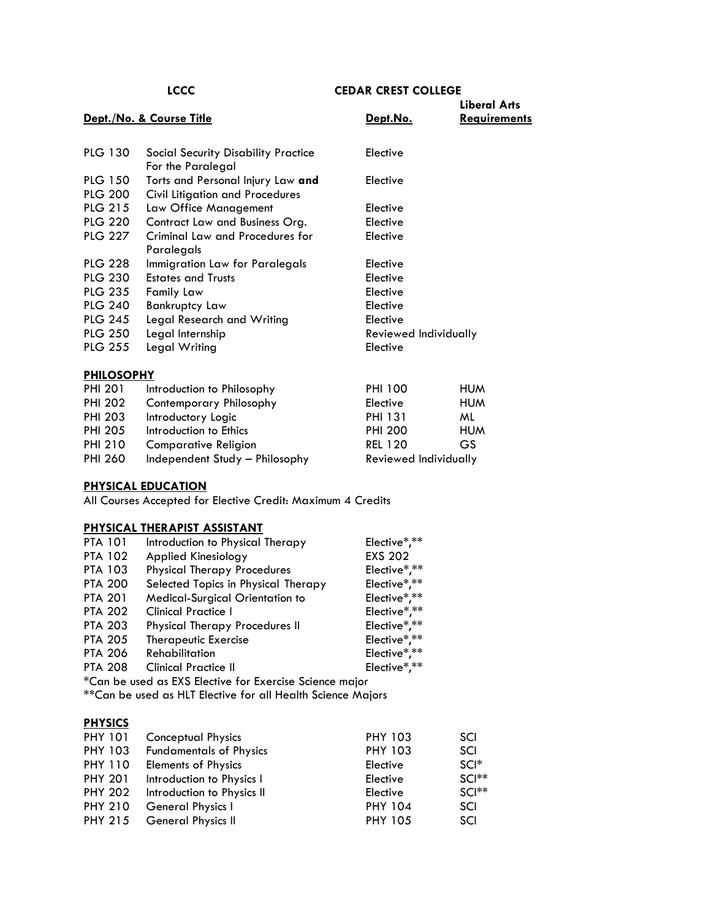|                   |                                            |                       | <b>Liberal Arts</b> |
|-------------------|--------------------------------------------|-----------------------|---------------------|
|                   | Dept./No. & Course Title                   | Dept.No.              | <b>Requirements</b> |
|                   |                                            |                       |                     |
| <b>PLG 130</b>    | <b>Social Security Disability Practice</b> | Elective              |                     |
|                   | For the Paralegal                          |                       |                     |
| <b>PLG 150</b>    | Torts and Personal Injury Law and          | Elective              |                     |
| <b>PLG 200</b>    | Civil Litigation and Procedures            |                       |                     |
| <b>PLG 215</b>    | Law Office Management                      | Elective              |                     |
| <b>PLG 220</b>    | Contract Law and Business Org.             | Elective              |                     |
| <b>PLG 227</b>    | Criminal Law and Procedures for            | Elective              |                     |
|                   | Paralegals                                 |                       |                     |
| <b>PLG 228</b>    | Immigration Law for Paralegals             | Elective              |                     |
| <b>PLG 230</b>    | <b>Estates and Trusts</b>                  | Elective              |                     |
| <b>PLG 235</b>    | <b>Family Law</b>                          | Elective              |                     |
| <b>PLG 240</b>    | <b>Bankruptcy Law</b>                      | Elective              |                     |
| <b>PLG 245</b>    | Legal Research and Writing                 | Elective              |                     |
| <b>PLG 250</b>    | Legal Internship                           | Reviewed Individually |                     |
| <b>PLG 255</b>    | Legal Writing                              | Elective              |                     |
|                   |                                            |                       |                     |
| <b>PHILOSOPHY</b> |                                            |                       |                     |
| <b>PHI 201</b>    | Introduction to Philosophy                 | <b>PHI 100</b>        | <b>HUM</b>          |
| <b>PHI 202</b>    | Contemporary Philosophy                    | Elective              | <b>HUM</b>          |
| <b>PHI 203</b>    | Introductory Logic                         | <b>PHI 131</b>        | ML                  |
| <b>PHI 205</b>    | Introduction to Ethics                     | <b>PHI 200</b>        | <b>HUM</b>          |
| <b>PHI 210</b>    | <b>Comparative Religion</b>                | <b>REL 120</b>        | GS                  |

**PHYSICAL EDUCATION**

All Courses Accepted for Elective Credit: Maximum 4 Credits

### **PHYSICAL THERAPIST ASSISTANT**

| <b>PTA 101</b>                                              | Introduction to Physical Therapy      | Elective*,**   |  |
|-------------------------------------------------------------|---------------------------------------|----------------|--|
| <b>PTA 102</b>                                              | <b>Applied Kinesiology</b>            | <b>EXS 202</b> |  |
| <b>PTA 103</b>                                              | <b>Physical Therapy Procedures</b>    | Elective*,**   |  |
| <b>PTA 200</b>                                              | Selected Topics in Physical Therapy   | Elective*,**   |  |
| <b>PTA 201</b>                                              | Medical-Surgical Orientation to       | Elective*,**   |  |
| <b>PTA 202</b>                                              | <b>Clinical Practice I</b>            | Elective*,**   |  |
| <b>PTA 203</b>                                              | <b>Physical Therapy Procedures II</b> | Elective*,**   |  |
| <b>PTA 205</b>                                              | <b>Therapeutic Exercise</b>           | Elective*,**   |  |
| <b>PTA 206</b>                                              | <b>Rehabilitation</b>                 | Elective*,**   |  |
| <b>PTA 208</b>                                              | <b>Clinical Practice II</b>           | Elective*,**   |  |
| *Can be used as EXS Elective for Exercise Science major     |                                       |                |  |
| **Can be used as HLT Elective for all Health Science Majors |                                       |                |  |

PHI 260 Independent Study - Philosophy Reviewed Individually

### **PHYSICS**

| <b>PHY 101</b> | Conceptual Physics             | <b>PHY 103</b> | SCI     |
|----------------|--------------------------------|----------------|---------|
| <b>PHY 103</b> | <b>Fundamentals of Physics</b> | <b>PHY 103</b> | SCI     |
| <b>PHY 110</b> | <b>Elements of Physics</b>     | Elective       | $SCI^*$ |
| <b>PHY 201</b> | Introduction to Physics I      | Elective       | $SCI**$ |
| <b>PHY 202</b> | Introduction to Physics II     | Elective       | $SCI**$ |
| <b>PHY 210</b> | General Physics I              | <b>PHY 104</b> | SCI     |
| <b>PHY 215</b> | <b>General Physics II</b>      | <b>PHY 105</b> | SCI     |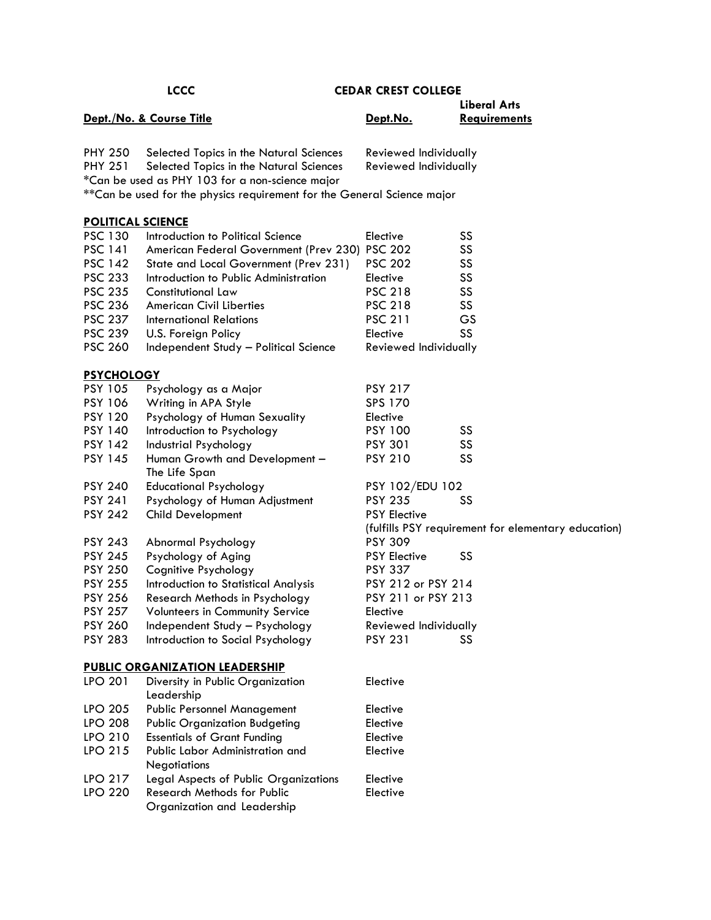|                                  | Dept./No. & Course Title                                                                                                              | Dept.No.                                       | <b>Liberal Arts</b><br><b>Requirements</b> |
|----------------------------------|---------------------------------------------------------------------------------------------------------------------------------------|------------------------------------------------|--------------------------------------------|
| <b>PHY 250</b><br><b>PHY 251</b> | Selected Topics in the Natural Sciences<br>Selected Topics in the Natural Sciences<br>*Can be used as PHY 103 for a non-science major | Reviewed Individually<br>Reviewed Individually |                                            |
|                                  | **Can be used for the physics requirement for the General Science major                                                               |                                                |                                            |
| <b>POLITICAL SCIENCE</b>         |                                                                                                                                       |                                                |                                            |
| <b>PSC 130</b>                   | Introduction to Political Science                                                                                                     | Elective                                       | SS                                         |
| <b>PSC 141</b>                   | American Federal Government (Prev 230)                                                                                                | <b>PSC 202</b>                                 | SS                                         |
| <b>PSC 142</b>                   | State and Local Government (Prev 231)                                                                                                 | <b>PSC 202</b>                                 | SS                                         |
| <b>PSC 233</b>                   | Introduction to Public Administration                                                                                                 | Elective                                       | SS                                         |
| <b>PSC 235</b>                   | Constitutional Law                                                                                                                    | <b>PSC 218</b>                                 | SS                                         |
| <b>PSC 236</b>                   | <b>American Civil Liberties</b>                                                                                                       | <b>PSC 218</b>                                 | SS                                         |

PSC 237 International Relations PSC 211 GS PSC 239 U.S. Foreign Policy **Elective** SS

PSC 260 Independent Study – Political Science Reviewed Individually

# **PSYCHOLOGY**

| <u>rai unuluu i</u> |                                |                                                     |    |
|---------------------|--------------------------------|-----------------------------------------------------|----|
| <b>PSY 105</b>      | Psychology as a Major          | <b>PSY 217</b>                                      |    |
| <b>PSY 106</b>      | Writing in APA Style           | SPS 170                                             |    |
| <b>PSY 120</b>      | Psychology of Human Sexuality  | Elective                                            |    |
| <b>PSY 140</b>      | Introduction to Psychology     | <b>PSY 100</b>                                      | SS |
| <b>PSY 142</b>      | Industrial Psychology          | <b>PSY 301</b>                                      | SS |
| <b>PSY 145</b>      | Human Growth and Development-  | <b>PSY 210</b>                                      | SS |
|                     | The Life Span                  |                                                     |    |
| <b>PSY 240</b>      | <b>Educational Psychology</b>  | PSY 102/EDU 102                                     |    |
| <b>PSY 241</b>      | Psychology of Human Adjustment | <b>PSY 235</b>                                      | SS |
| <b>PSY 242</b>      | Child Development              | <b>PSY Elective</b>                                 |    |
|                     |                                | (fulfills PSY requirement for elementary education) |    |
| <b>PSY 243</b>      | Abnormal Psychology            | <b>PSY 309</b>                                      |    |
| <b>PSY 245</b>      | Psychology of Aging            | <b>PSY Elective</b>                                 | SS |
|                     |                                |                                                     |    |

PSY 250 Cognitive Psychology PSY 337

PSY 255 Introduction to Statistical Analysis PSY 212 or PSY 214

PSY 256 Research Methods in Psychology PSY 211 or PSY 213

PSY 257 Volunteers in Community Service Elective

PSY 260 Independent Study - Psychology Reviewed Individually

PSY 283 Introduction to Social Psychology PSY 231 SS

#### **PUBLIC ORGANIZATION LEADERSHIP**

| <b>LPO 201</b> | Diversity in Public Organization             | Elective |
|----------------|----------------------------------------------|----------|
|                | Leadership                                   |          |
| <b>LPO 205</b> | <b>Public Personnel Management</b>           | Elective |
| <b>LPO 208</b> | <b>Public Organization Budgeting</b>         | Elective |
| LPO 210        | <b>Essentials of Grant Funding</b>           | Elective |
| LPO 215        | Public Labor Administration and              | Elective |
|                | <b>Negotiations</b>                          |          |
| <b>LPO 217</b> | <b>Legal Aspects of Public Organizations</b> | Elective |
| <b>LPO 220</b> | <b>Research Methods for Public</b>           | Elective |
|                | Organization and Leadership                  |          |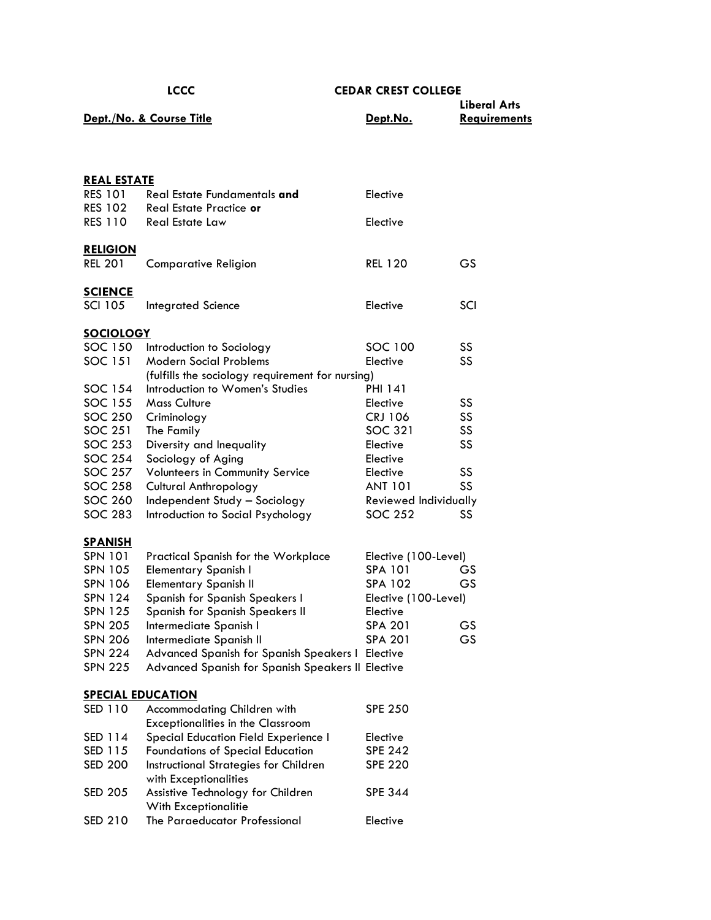| ×<br>۰. | ×<br>۰. | ×<br>۰. |
|---------|---------|---------|

|          | <b>Liberal Arts</b> |
|----------|---------------------|
| Dept.No. | <b>Reavirements</b> |
|          |                     |

| <u>REAL ESTATE</u>       |                                                   |                       |     |
|--------------------------|---------------------------------------------------|-----------------------|-----|
| <b>RES 101</b>           | Real Estate Fundamentals and                      | Elective              |     |
| <b>RES 102</b>           | Real Estate Practice or                           |                       |     |
| <b>RES 110</b>           | Real Estate Law                                   | Elective              |     |
|                          |                                                   |                       |     |
| <b>RELIGION</b>          |                                                   |                       |     |
| <b>REL 201</b>           | <b>Comparative Religion</b>                       | <b>REL 120</b>        | GS  |
| <b>SCIENCE</b>           |                                                   |                       |     |
| <b>SCI 105</b>           | <b>Integrated Science</b>                         | Elective              | SCI |
|                          |                                                   |                       |     |
| <b>SOCIOLOGY</b>         |                                                   |                       |     |
| SOC 150                  | Introduction to Sociology                         | SOC 100               | SS  |
| SOC 151                  | <b>Modern Social Problems</b>                     | Elective              | SS  |
|                          | (fulfills the sociology requirement for nursing)  |                       |     |
| SOC 154                  | Introduction to Women's Studies                   | <b>PHI 141</b>        |     |
| SOC 155                  | <b>Mass Culture</b>                               | Elective              | SS  |
| SOC 250                  | Criminology                                       | <b>CRJ 106</b>        | SS  |
| SOC 251                  | The Family                                        | SOC 321               | SS  |
| SOC 253                  | Diversity and Inequality                          | Elective              | SS  |
| SOC 254                  | Sociology of Aging                                | Elective              |     |
| SOC 257                  | Volunteers in Community Service                   | Elective              | SS  |
| SOC 258                  | <b>Cultural Anthropology</b>                      | <b>ANT 101</b>        | SS  |
| SOC 260                  | Independent Study - Sociology                     | Reviewed Individually |     |
| SOC 283                  | Introduction to Social Psychology                 | SOC 252               | SS  |
| <b>SPANISH</b>           |                                                   |                       |     |
| SPN 101                  | <b>Practical Spanish for the Workplace</b>        | Elective (100-Level)  |     |
| SPN 105                  | <b>Elementary Spanish I</b>                       | <b>SPA 101</b>        | GS  |
| <b>SPN 106</b>           | <b>Elementary Spanish II</b>                      | SPA 102               | GS  |
| <b>SPN 124</b>           | Spanish for Spanish Speakers I                    | Elective (100-Level)  |     |
| SPN 125                  | Spanish for Spanish Speakers II                   | Elective              |     |
| <b>SPN 205</b>           | Intermediate Spanish I                            | <b>SPA 201</b>        | GS  |
| <b>SPN 206</b>           | Intermediate Spanish II                           | SPA 201               | GS  |
| <b>SPN 224</b>           | Advanced Spanish for Spanish Speakers   Elective  |                       |     |
| <b>SPN 225</b>           | Advanced Spanish for Spanish Speakers II Elective |                       |     |
|                          |                                                   |                       |     |
| <u>SPECIAL EDUCATION</u> |                                                   |                       |     |
| SED 110                  | Accommodating Children with                       | <b>SPE 250</b>        |     |
|                          | <b>Exceptionalities in the Classroom</b>          |                       |     |
| SED 114                  | <b>Special Education Field Experience I</b>       | Elective              |     |
| SED 115                  | <b>Foundations of Special Education</b>           | <b>SPE 242</b>        |     |
| <b>SED 200</b>           | Instructional Strategies for Children             | <b>SPE 220</b>        |     |
|                          | with Exceptionalities                             |                       |     |
| <b>SED 205</b>           | Assistive Technology for Children                 | <b>SPE 344</b>        |     |

With Exceptionalitie SED 210 The Paraeducator Professional Flective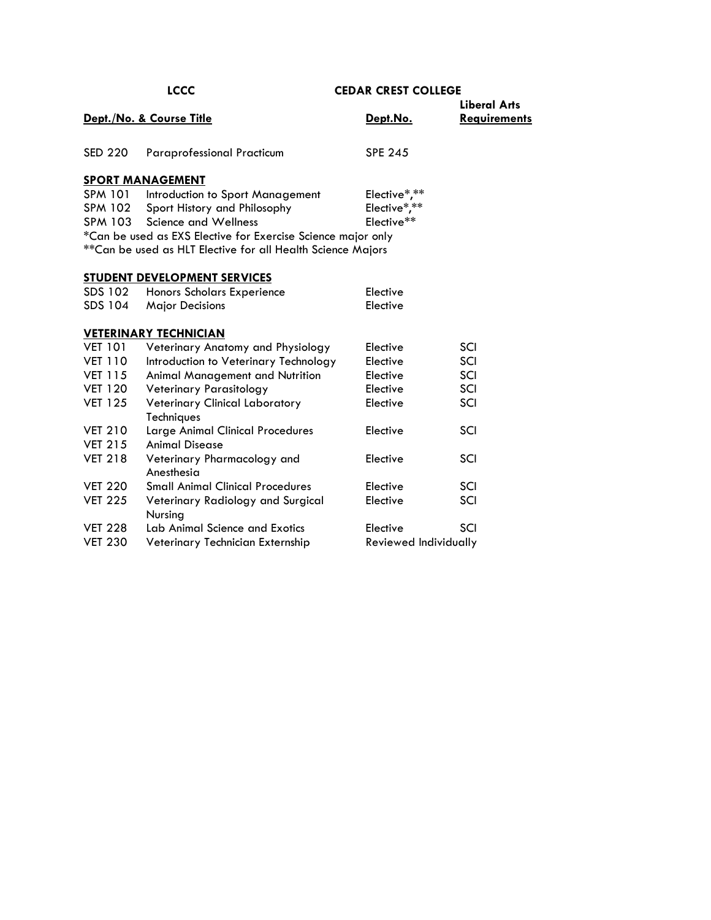| <b>LCCC</b>    |                                                              | <b>CEDAR CREST COLLEGE</b> |                     |  |
|----------------|--------------------------------------------------------------|----------------------------|---------------------|--|
|                |                                                              |                            | <b>Liberal Arts</b> |  |
|                | Dept./No. & Course Title                                     | Dept.No.                   | <b>Requirements</b> |  |
|                |                                                              |                            |                     |  |
| <b>SED 220</b> | <b>Paraprofessional Practicum</b>                            | <b>SPE 245</b>             |                     |  |
|                | <b>SPORT MANAGEMENT</b>                                      |                            |                     |  |
| SPM 101        | Introduction to Sport Management                             | Elective*,**               |                     |  |
| <b>SPM 102</b> | Sport History and Philosophy                                 | Elective*,**               |                     |  |
| SPM 103        | Science and Wellness                                         | Elective**                 |                     |  |
|                | *Can be used as EXS Elective for Exercise Science major only |                            |                     |  |
|                | ** Can be used as HLT Elective for all Health Science Majors |                            |                     |  |
|                |                                                              |                            |                     |  |
|                | <b>STUDENT DEVELOPMENT SERVICES</b>                          |                            |                     |  |
| SDS 102        | Honors Scholars Experience                                   | Elective                   |                     |  |
| SDS 104        | <b>Major Decisions</b>                                       | Elective                   |                     |  |
|                |                                                              |                            |                     |  |
|                | <b>VETERINARY TECHNICIAN</b>                                 |                            |                     |  |
| <b>VET 101</b> | Veterinary Anatomy and Physiology                            | Elective                   | SCI                 |  |
| <b>VET 110</b> | Introduction to Veterinary Technology                        | Elective                   | SCI                 |  |
| <b>VET 115</b> | Animal Management and Nutrition                              | Elective                   | SCI                 |  |
| <b>VET 120</b> | <b>Veterinary Parasitology</b>                               | Elective                   | SCI                 |  |
| <b>VET 125</b> | Veterinary Clinical Laboratory                               | Elective                   | SCI                 |  |
|                | Techniques                                                   |                            |                     |  |
| <b>VET 210</b> | Large Animal Clinical Procedures                             | Elective                   | SCI                 |  |
| <b>VET 215</b> | <b>Animal Disease</b>                                        |                            |                     |  |
| <b>VET 218</b> | Veterinary Pharmacology and                                  | Elective                   | SCI                 |  |
|                | Anesthesia                                                   |                            |                     |  |
| <b>VET 220</b> | <b>Small Animal Clinical Procedures</b>                      | Elective                   | SCI                 |  |
| <b>VET 225</b> | Veterinary Radiology and Surgical                            | Elective                   | SCI                 |  |
|                | Nursing                                                      |                            |                     |  |
| <b>VET 228</b> | Lab Animal Science and Exotics                               | Elective                   | SCI                 |  |
| <b>VET 230</b> | Veterinary Technician Externship                             | Reviewed Individually      |                     |  |